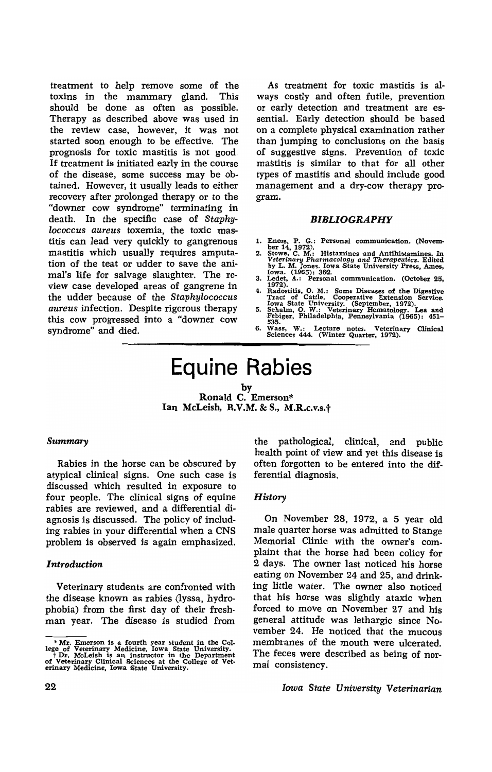treatment to help remove some of the toxins in the mammary gland. This should be done as often as possible. Therapy as described above was used in the review case, however, it was not started soon enough to be effective. The prognosis for toxic mastitis is not good. If treatment is initiated early in the course of the disease, some success may be obtained. However, it usually leads to either recovery after prolonged therapy or to the "downer cow syndrome" terminating in death. In the specific case of *Staphylococcus aureus* toxemia, the toxic mastitis can lead very quickly to gangrenous mastitis which usually requires amputation of the teat or udder to save the animal's life for salvage slaughter. The review case developed areas of gangrene in the udder because of the *Staphylococcus aureus* infection. Despite rigorous therapy this cow progressed into a "downer cow syndrome" and died.

As treatment for toxic mastitis is always costly and often futile, prevention or early detection and treatment are essential. Early detection should be based on a complete physical examination rather than jumping to conclusions on the basis of suggestive signs. Prevention of toxic mastitis is similar to that for all other types of mastitis and should include good management and a dry-cow therapy program.

#### *BIBLIOGRAPHY*

- 
- 1. Eness, P. G.: Personal communication. (Novem-<br>
2. Stowe, C. M.: Histamines and Antihistamines. In<br>
2. Stowe, C. M.: Histamines and Antihistamines. In<br>
Veterinary Pharmacology and Therapeutics. Edited<br>
by L. M. Jones. Io
- 
- 4. Radostitis, O. M.: Some Diseases of the Digestive<br>Tract of Cattle. Cooperative Extension Service.<br>Iowa State University. (September, 1972).<br>5. Schalm, O. W.: Veterinary Hematology. Lea and<br>Febiger. Philadelphia. Pennsyl
- 535.<br>Wass,
- 6. Wass, W.: Lecture notes. Veterinary Clinical Sciences 444. (Winter Quarter, 1972).

# **Equine Rabies**

by Ronald C, Emerson\* Ian McLeish, B.V.M. & S., M.R.c.v.s.+

#### *Summary*

Rabies in the horse can be obscured by atypical clinical signs. One such case is discussed which resulted in exposure to four people. The clinical signs of equine rabies are reviewed, and a differential diagnosis is discussed. The policy of including rabies in your differential when a CNS problem is observed is again emphasized.

## *Introduction*

Veterinary students are confronted with the disease known as rabies (lyssa, hydrophobia) from the first day of their freshman year. The disease is studied from the pathological, clinical, and public health point of view and yet this disease is often forgotten to be entered into the differential diagnosis.

### *History*

On November 28, 1972, a 5 year old male quarter horse was admitted to Stange Memorial Clinic with the owner's complaint that the horse had been colicy for 2 days. The owner last noticed his horse eating on November 24 and 25, and drinking little water. The owner also noticed that his horse was slightly ataxic when forced to move on November 27 and his general attitude was lethargic since November 24. He noticed that the mucous membranes of the mouth were ulcerated. The feces were described as being of normal consistency.

*Iowa State University Veterinarian* 

 $*$  Mr. Emerson is a fourth year student in the College of Veterinary Medicine, Iowa State University,<br>  $+$  Dr. McLeish is an instructor in the Department<br>
of Veterinary Clinical Sciences at the College of Veterinary Medi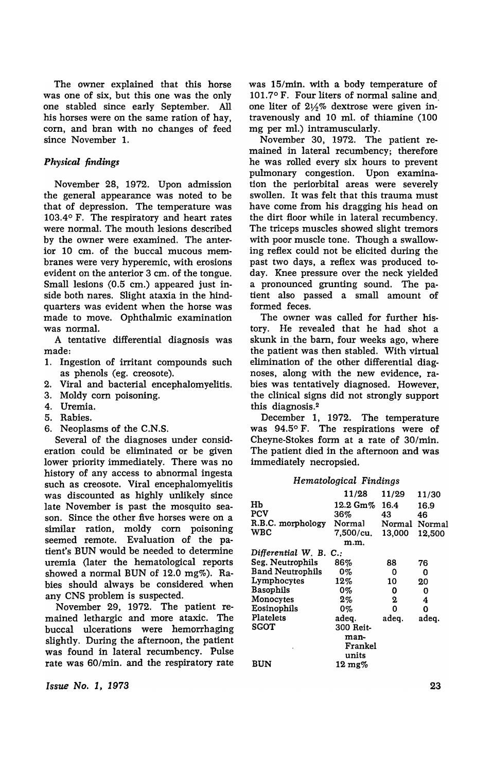The owner explained that this horse was one of six, but this one was the only one stabled since early September. All his horses were on the same ration of hay, corn, and bran with no changes of feed since November 1.

# *Physical findings*

November 28, 1972. Upon admission the general appearance was noted to be that of depression. The temperature was 103.4° F. The respiratory and heart rates were normal. The mouth lesions described by the owner were examined. The anterior 10 cm. of the buccal mucous membranes were very hyperemic, with erosions evident on the anterior 3 cm. of the tongue. Small lesions (0.5 em.) appeared just inside both nares. Slight ataxia in the hindquarters was evident when the horse was made to move. Ophthalmic examination was normal.

A tentative differential diagnosis was made:

- 1. Ingestion of irritant compounds such as phenols (eg. creosote).
- 2. Viral and bacterial encephalomyelitis.
- 3. Moldy corn poisoning.
- 4. Uremia.
- 5. Rabies.
- 6. Neoplasms of the C.N.S.

Several of the diagnoses under consideration could be eliminated or be given lower priority immediately. There was no history of any access to abnormal ingesta such as creosote. Viral encephalomyelitis was discounted as highly unlikely since late November is past the mosquito season. Since the other five horses were on a similar ration, moldy corn poisoning seemed remote. Evaluation of the patient's BUN would be needed to determine uremia (later the hematological reports showed a normal BUN of 12.0 mg%). Rabies should always be considered when any CNS problem is suspected.

November 29, 1972. The patient remained lethargic and more ataxic. The buccal ulcerations were hemorrhaging slightly. During the afternoon, the patient was found in lateral recumbency. Pulse rate was 60/min. and the respiratory rate

*Issue No.1, 1978* 

was I5/min. with a body temperature of 101.7° F. Four liters of normal saline and, one liter of *2Y2%* dextrose were given intravenously and 10 mI. of thiamine (100 mg per ml.) intramuscularly.

November 30, 1972. The patient remained in lateral recumbency; therefore he was rolled every six hours to prevent pulmonary congestion. Upon examination the periorbital areas were severely swollen. It was felt that this trauma must have come from his dragging his head on the dirt floor while in lateral recumbency. The triceps muscles showed slight tremors with poor muscle tone. Though a swallowing reflex could not be elicited during the past two days, a reflex was produced today. Knee pressure over the neck yielded a pronounced grunting sound. The patient also passed a small amount of formed feces.

The owner was called for further history. He revealed that he had shot a skunk in the barn, four weeks ago, where the patient was then stabled. With virtual elimination of the other differential diagnoses, along with the new evidence, rabies was tentatively diagnosed. However, the clinical signs did not strongly support this diagnosis.<sup>2</sup>

December I, 1972. The temperature was 94.5° F. The respirations were of Cheyne-Stokes format a rate of 30/min. The patient died in the afternoon and was immediately necropsied.

## *Hematological Findings*

|                         | 11/28             | 11/29  | 11/30  |
|-------------------------|-------------------|--------|--------|
| HЬ                      | 12.2 Gm%          | 16.4   | 16.9   |
| PCV                     | 36%               | 43     | 46     |
| R.B.C. morphology       | Normal            | Normal | Normal |
| <b>WRC</b>              | 7,500/cu.         | 13,000 | 12.500 |
|                         | m.m.              |        |        |
| Differential W. B. C.:  |                   |        |        |
| Seg. Neutrophils        | 86%               | 88     | 76     |
| <b>Band Neutrophils</b> | 0%                | 0      | O      |
| Lymphocytes             | 12%               | 10     | 20     |
| <b>Basophils</b>        | 0%                | 0      | 0      |
| Monocytes               | $2\%$             | 2      | 4      |
| Eosinophils             | 0%                | 0      | Ω      |
| Platelets               | adeq.             | adeq.  | adeq.  |
| SGOT                    | 300 Reit-         |        |        |
|                         | man-              |        |        |
|                         | Frankel           |        |        |
|                         | units             |        |        |
| <b>BUN</b>              | $12 \text{ mg}$ % |        |        |

23